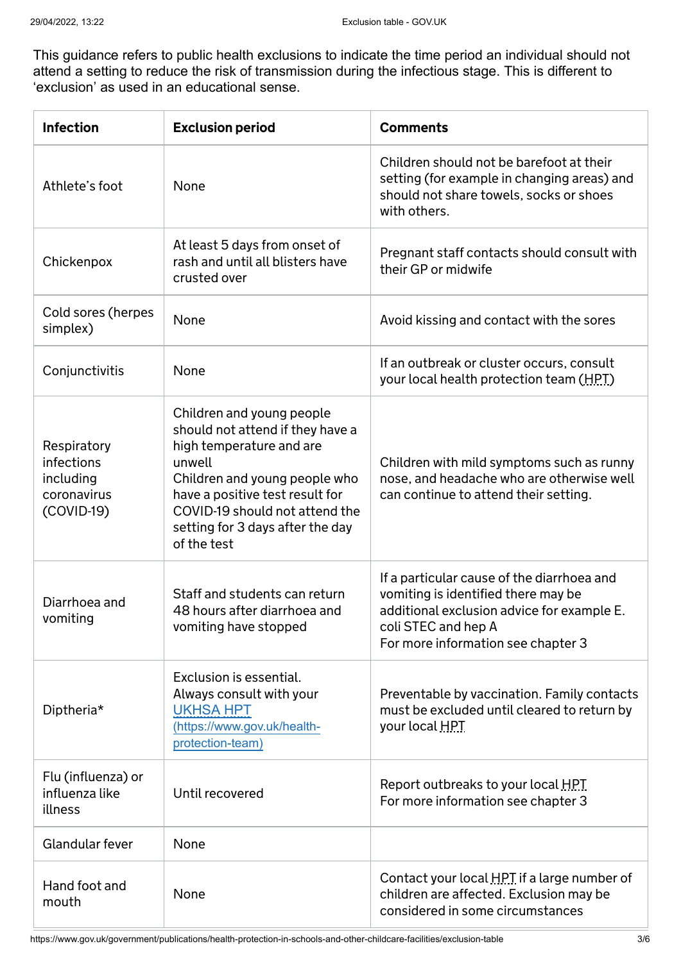This guidance refers to public health exclusions to indicate the time period an individual should not attend a setting to reduce the risk of transmission during the infectious stage. This is different to 'exclusion' as used in an educational sense.

| <b>Infection</b>                                                      | <b>Exclusion period</b>                                                                                                                                                                                                                                      | <b>Comments</b>                                                                                                                                                                              |
|-----------------------------------------------------------------------|--------------------------------------------------------------------------------------------------------------------------------------------------------------------------------------------------------------------------------------------------------------|----------------------------------------------------------------------------------------------------------------------------------------------------------------------------------------------|
| Athlete's foot                                                        | None                                                                                                                                                                                                                                                         | Children should not be barefoot at their<br>setting (for example in changing areas) and<br>should not share towels, socks or shoes<br>with others.                                           |
| Chickenpox                                                            | At least 5 days from onset of<br>rash and until all blisters have<br>crusted over                                                                                                                                                                            | Pregnant staff contacts should consult with<br>their GP or midwife                                                                                                                           |
| Cold sores (herpes<br>simplex)                                        | None                                                                                                                                                                                                                                                         | Avoid kissing and contact with the sores                                                                                                                                                     |
| Conjunctivitis                                                        | None                                                                                                                                                                                                                                                         | If an outbreak or cluster occurs, consult<br>your local health protection team (HPT)                                                                                                         |
| Respiratory<br>infections<br>including<br>coronavirus<br>$(COVID-19)$ | Children and young people<br>should not attend if they have a<br>high temperature and are<br>unwell<br>Children and young people who<br>have a positive test result for<br>COVID-19 should not attend the<br>setting for 3 days after the day<br>of the test | Children with mild symptoms such as runny<br>nose, and headache who are otherwise well<br>can continue to attend their setting.                                                              |
| Diarrhoea and<br>vomiting                                             | Staff and students can return<br>48 hours after diarrhoea and<br>vomiting have stopped                                                                                                                                                                       | If a particular cause of the diarrhoea and<br>vomiting is identified there may be<br>additional exclusion advice for example E.<br>coli STEC and hep A<br>For more information see chapter 3 |
| Diptheria*                                                            | Exclusion is essential.<br>Always consult with your<br><b>UKHSA HPT</b><br>(https://www.gov.uk/health-<br>protection-team)                                                                                                                                   | Preventable by vaccination. Family contacts<br>must be excluded until cleared to return by<br>your local HPT                                                                                 |
| Flu (influenza) or<br>influenza like<br>illness                       | Until recovered                                                                                                                                                                                                                                              | Report outbreaks to your local HPT<br>For more information see chapter 3                                                                                                                     |
| Glandular fever                                                       | None                                                                                                                                                                                                                                                         |                                                                                                                                                                                              |
| Hand foot and<br>mouth                                                | None                                                                                                                                                                                                                                                         | Contact your local HPT if a large number of<br>children are affected. Exclusion may be<br>considered in some circumstances                                                                   |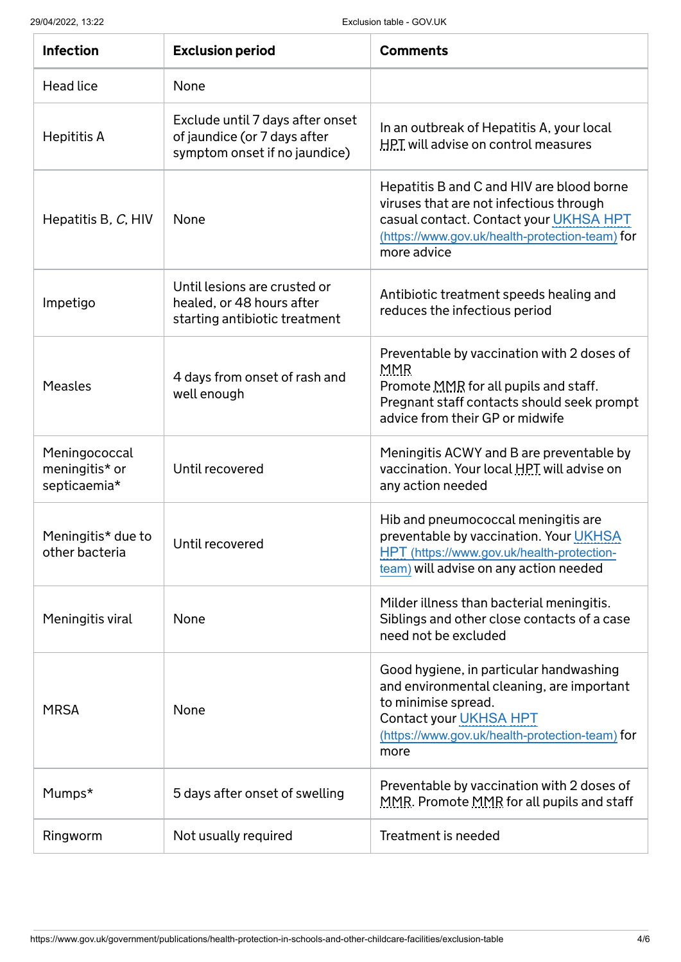29/04/2022, 13:22 Exclusion table - GOV.UK

| <b>Infection</b>                                | <b>Exclusion period</b>                                                                           | <b>Comments</b>                                                                                                                                                                                         |
|-------------------------------------------------|---------------------------------------------------------------------------------------------------|---------------------------------------------------------------------------------------------------------------------------------------------------------------------------------------------------------|
| Head lice                                       | None                                                                                              |                                                                                                                                                                                                         |
| Hepititis A                                     | Exclude until 7 days after onset<br>of jaundice (or 7 days after<br>symptom onset if no jaundice) | In an outbreak of Hepatitis A, your local<br><b>HPT</b> will advise on control measures                                                                                                                 |
| Hepatitis B, C, HIV                             | None                                                                                              | Hepatitis B and C and HIV are blood borne<br>viruses that are not infectious through<br>casual contact. Contact your UKHSA HPT<br>(https://www.gov.uk/health-protection-team) for<br>more advice        |
| Impetigo                                        | Until lesions are crusted or<br>healed, or 48 hours after<br>starting antibiotic treatment        | Antibiotic treatment speeds healing and<br>reduces the infectious period                                                                                                                                |
| <b>Measles</b>                                  | 4 days from onset of rash and<br>well enough                                                      | Preventable by vaccination with 2 doses of<br>MMR<br>Promote MMR for all pupils and staff.<br>Pregnant staff contacts should seek prompt<br>advice from their GP or midwife                             |
| Meningococcal<br>meningitis* or<br>septicaemia* | Until recovered                                                                                   | Meningitis ACWY and B are preventable by<br>vaccination. Your local HPT will advise on<br>any action needed                                                                                             |
| Meningitis* due to<br>other bacteria            | Until recovered                                                                                   | Hib and pneumococcal meningitis are<br>preventable by vaccination. Your UKHSA<br>HPT (https://www.gov.uk/health-protection-<br>team) will advise on any action needed                                   |
| Meningitis viral                                | None                                                                                              | Milder illness than bacterial meningitis.<br>Siblings and other close contacts of a case<br>need not be excluded                                                                                        |
| <b>MRSA</b>                                     | None                                                                                              | Good hygiene, in particular handwashing<br>and environmental cleaning, are important<br>to minimise spread.<br><b>Contact your UKHSA HPT</b><br>(https://www.gov.uk/health-protection-team) for<br>more |
| Mumps*                                          | 5 days after onset of swelling                                                                    | Preventable by vaccination with 2 doses of<br>MMR. Promote MMR for all pupils and staff                                                                                                                 |
| Ringworm                                        | Not usually required                                                                              | Treatment is needed                                                                                                                                                                                     |